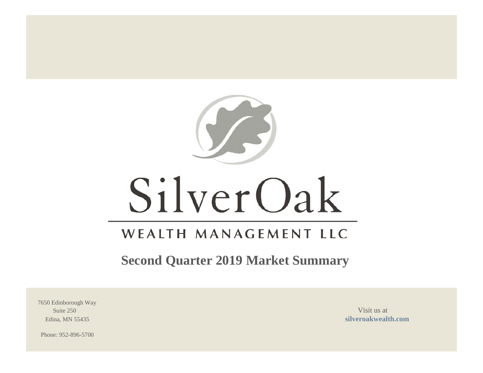

# SilverOak

# WEALTH MANAGEMENT LLC

**Second Quarter 2019 Market Summary**

7650 Edinborough Way Suite 250 Visit us at  $\frac{1}{2}$  Visit us at  $\frac{1}{2}$  Visit us at  $\frac{1}{2}$ 

Edina, MN 55435 **[silveroakwealth.com](http://www.silveroakwealth.com/silveroakwealth.aspx)**

Phone: 952-896-5700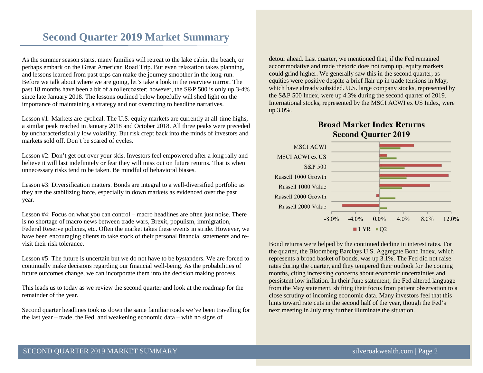# **Second Quarter 2019 Market Summary**

As the summer season starts, many families will retreat to the lake cabin, the beach, or perhaps embark on the Great American Road Trip. But even relaxation takes planning, and lessons learned from past trips can make the journey smoother in the long-run. Before we talk about where we are going, let's take a look in the rearview mirror. The past 18 months have been a bit of a rollercoaster; however, the S&P 500 is only up 3-4% since late January 2018. The lessons outlined below hopefully will shed light on the importance of maintaining a strategy and not overacting to headline narratives.

Lesson #1: Markets are cyclical. The U.S. equity markets are currently at all-time highs, a similar peak reached in January 2018 and October 2018. All three peaks were preceded by uncharacteristically low volatility. But risk crept back into the minds of investors and markets sold off. Don't be scared of cycles.

Lesson #2: Don't get out over your skis. Investors feel empowered after a long rally and believe it will last indefinitely or fear they will miss out on future returns. That is when unnecessary risks tend to be taken. Be mindful of behavioral biases.

Lesson #3: Diversification matters. Bonds are integral to a well-diversified portfolio as they are the stabilizing force, especially in down markets as evidenced over the past year.

Lesson #4: Focus on what you can control – macro headlines are often just noise. There is no shortage of macro news between trade wars, Brexit, populism, immigration, Federal Reserve policies, etc. Often the market takes these events in stride. However, we have been encouraging clients to take stock of their personal financial statements and revisit their risk tolerance.

Lesson #5: The future is uncertain but we do not have to be bystanders. We are forced to continually make decisions regarding our financial well-being. As the probabilities of future outcomes change, we can incorporate them into the decision making process.

This leads us to today as we review the second quarter and look at the roadmap for the remainder of the year.

Second quarter headlines took us down the same familiar roads we've been travelling for the last year – trade, the Fed, and weakening economic data – with no signs of

detour ahead. Last quarter, we mentioned that, if the Fed remained accommodative and trade rhetoric does not ramp up, equity markets could grind higher. We generally saw this in the second quarter, as equities were positive despite a brief flair up in trade tensions in May, which have already subsided. U.S. large company stocks, represented by the S&P 500 Index, were up 4.3% during the second quarter of 2019. International stocks, represented by the MSCI ACWI ex US Index, were up 3.0%.

### **Broad Market Index Returns Second Quarter 2019**



Bond returns were helped by the continued decline in interest rates. For the quarter, the Bloomberg Barclays U.S. Aggregate Bond Index, which represents a broad basket of bonds, was up 3.1%. The Fed did not raise rates during the quarter, and they tempered their outlook for the coming months, citing increasing concerns about economic uncertainties and persistent low inflation. In their June statement, the Fed altered language from the May statement, shifting their focus from patient observation to a close scrutiny of incoming economic data. Many investors feel that this hints toward rate cuts in the second half of the year, though the Fed's next meeting in July may further illuminate the situation.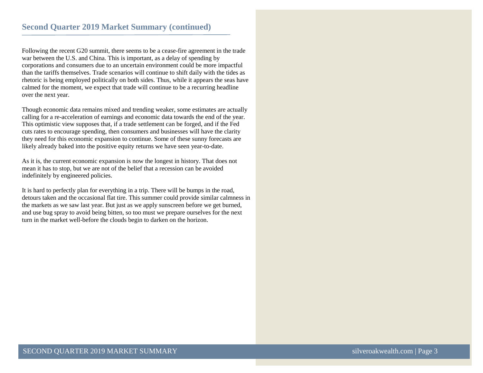Following the recent G20 summit, there seems to be a cease-fire agreement in the trade war between the U.S. and China. This is important, as a delay of spending by corporations and consumers due to an uncertain environment could be more impactful than the tariffs themselves. Trade scenarios will continue to shift daily with the tides as rhetoric is being employed politically on both sides. Thus, while it appears the seas have calmed for the moment, we expect that trade will continue to be a recurring headline over the next year.

Though economic data remains mixed and trending weaker, some estimates are actually calling for a re-acceleration of earnings and economic data towards the end of the year. This optimistic view supposes that, if a trade settlement can be forged, and if the Fed cuts rates to encourage spending, then consumers and businesses will have the clarity they need for this economic expansion to continue. Some of these sunny forecasts are likely already baked into the positive equity returns we have seen year-to-date.

As it is, the current economic expansion is now the longest in history. That does not mean it has to stop, but we are not of the belief that a recession can be avoided indefinitely by engineered policies.

It is hard to perfectly plan for everything in a trip. There will be bumps in the road, detours taken and the occasional flat tire. This summer could provide similar calmness in the markets as we saw last year. But just as we apply sunscreen before we get burned, and use bug spray to avoid being bitten, so too must we prepare ourselves for the next turn in the market well-before the clouds begin to darken on the horizon.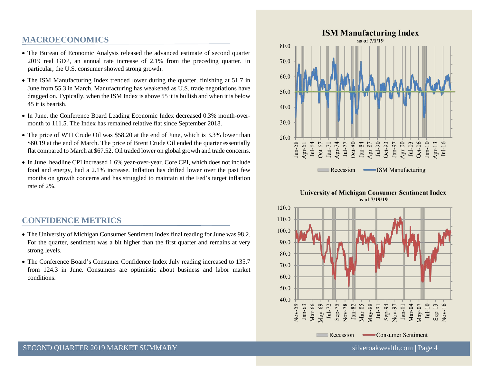### **MACROECONOMICS**

- The Bureau of Economic Analysis released the advanced estimate of second quarter 2019 real GDP, an annual rate increase of 2.1% from the preceding quarter. In particular, the U.S. consumer showed strong growth.
- The ISM Manufacturing Index trended lower during the quarter, finishing at 51.7 in June from 55.3 in March. Manufacturing has weakened as U.S. trade negotiations have dragged on. Typically, when the ISM Index is above 55 it is bullish and when it is below 45 it is bearish.
- In June, the Conference Board Leading Economic Index decreased 0.3% month-overmonth to 111.5. The Index has remained relative flat since September 2018.
- The price of WTI Crude Oil was \$58.20 at the end of June, which is 3.3% lower than \$60.19 at the end of March. The price of Brent Crude Oil ended the quarter essentially flat compared to March at \$67.52. Oil traded lower on global growth and trade concerns.
- In June, headline CPI increased 1.6% year-over-year. Core CPI, which does not include food and energy, had a 2.1% increase. Inflation has drifted lower over the past few months on growth concerns and has struggled to maintain at the Fed's target inflation rate of 2%.

### **CONFIDENCE METRICS**

- The University of Michigan Consumer Sentiment Index final reading for June was 98.2. For the quarter, sentiment was a bit higher than the first quarter and remains at very strong levels.
- The Conference Board's Consumer Confidence Index July reading increased to 135.7 from 124.3 in June. Consumers are optimistic about business and labor market conditions.



#### **University of Michigan Consumer Sentiment Index** as of 7/19/19

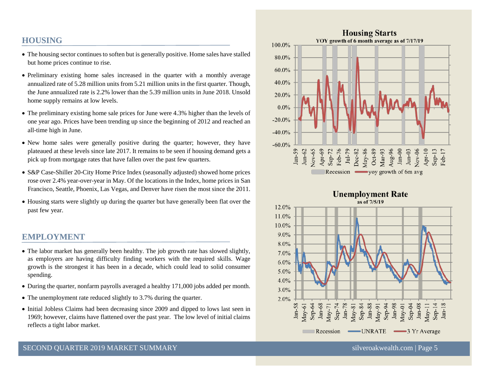# **HOUSING**

- The housing sector continues to soften but is generally positive. Home sales have stalled but home prices continue to rise.
- Preliminary existing home sales increased in the quarter with a monthly average annualized rate of 5.28 million units from 5.21 million units in the first quarter. Though, the June annualized rate is 2.2% lower than the 5.39 million units in June 2018. Unsold home supply remains at low levels.
- The preliminary existing home sale prices for June were 4.3% higher than the levels of one year ago. Prices have been trending up since the beginning of 2012 and reached an all-time high in June.
- New home sales were generally positive during the quarter; however, they have plateaued at these levels since late 2017. It remains to be seen if housing demand gets a pick up from mortgage rates that have fallen over the past few quarters.
- S&P Case-Shiller 20-City Home Price Index (seasonally adjusted) showed home prices rose over 2.4% year-over-year in May. Of the locations in the Index, home prices in San Francisco, Seattle, Phoenix, Las Vegas, and Denver have risen the most since the 2011.
- Housing starts were slightly up during the quarter but have generally been flat over the past few year.

# **EMPLOYMENT**

- The labor market has generally been healthy. The job growth rate has slowed slightly, as employers are having difficulty finding workers with the required skills. Wage growth is the strongest it has been in a decade, which could lead to solid consumer spending.
- During the quarter, nonfarm payrolls averaged a healthy 171,000 jobs added per month.
- The unemployment rate reduced slightly to 3.7% during the quarter.
- Initial Jobless Claims had been decreasing since 2009 and dipped to lows last seen in 1969; however, claims have flattened over the past year. The low level of initial claims reflects a tight labor market.



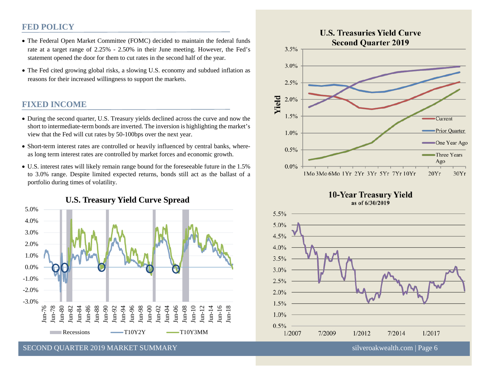### **FED POLICY**

- The Federal Open Market Committee (FOMC) decided to maintain the federal funds rate at a target range of 2.25% - 2.50% in their June meeting. However, the Fed's statement opened the door for them to cut rates in the second half of the year.
- The Fed cited growing global risks, a slowing U.S. economy and subdued inflation as reasons for their increased willingness to support the markets.

# **FIXED INCOME**

- During the second quarter, U.S. Treasury yields declined across the curve and now the short to intermediate-term bonds are inverted. The inversion is highlighting the market's view that the Fed will cut rates by 50-100bps over the next year.
- Short-term interest rates are controlled or heavily influenced by central banks, whereas long term interest rates are controlled by market forces and economic growth.
- U.S. interest rates will likely remain range bound for the foreseeable future in the 1.5% to 3.0% range. Despite limited expected returns, bonds still act as the ballast of a portfolio during times of volatility.





**10-Year Treasury Yield** as of 6/30/2019



SECOND QUARTER 2019 MARKET SUMMARY [silveroakwealth.com](http://www.silveroakwealth.com/silveroakwealth.aspx) | Page 6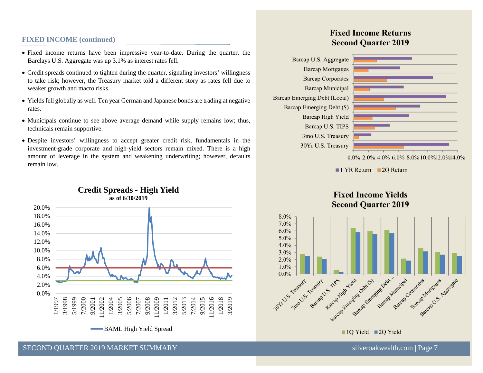#### **FIXED INCOME (continued)**

- Fixed income returns have been impressive year-to-date. During the quarter, the Barclays U.S. Aggregate was up 3.1% as interest rates fell.
- Credit spreads continued to tighten during the quarter, signaling investors' willingness to take risk; however, the Treasury market told a different story as rates fell due to weaker growth and macro risks.
- Yields fell globally as well. Ten year German and Japanese bonds are trading at negative rates.
- Municipals continue to see above average demand while supply remains low; thus, technicals remain supportive.
- Despite investors' willingness to accept greater credit risk, fundamentals in the investment-grade corporate and high-yield sectors remain mixed. There is a high amount of leverage in the system and weakening underwriting; however, defaults remain low.



#### **Credit Spreads - High Yield as of 6/30/2019**

# **Fixed Income Returns Second Quarter 2019**





 $\blacksquare$  1 YR Return  $\blacksquare$  2Q Return

# **Fixed Income Yields Second Ouarter 2019**

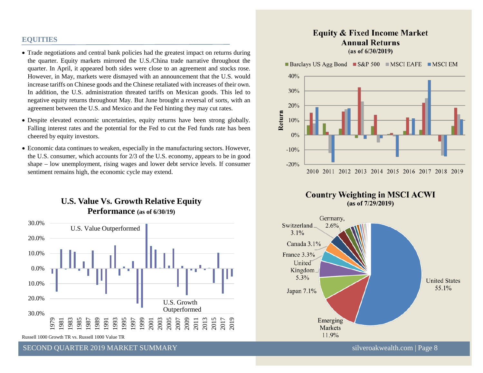#### **EQUITIES**

- Trade negotiations and central bank policies had the greatest impact on returns during the quarter. Equity markets mirrored the U.S./China trade narrative throughout the quarter. In April, it appeared both sides were close to an agreement and stocks rose. However, in May, markets were dismayed with an announcement that the U.S. would increase tariffs on Chinese goods and the Chinese retaliated with increases of their own. In addition, the U.S. administration threated tariffs on Mexican goods. This led to negative equity returns throughout May. But June brought a reversal of sorts, with an agreement between the U.S. and Mexico and the Fed hinting they may cut rates.
- Despite elevated economic uncertainties, equity returns have been strong globally. Falling interest rates and the potential for the Fed to cut the Fed funds rate has been cheered by equity investors.
- Economic data continues to weaken, especially in the manufacturing sectors. However, the U.S. consumer, which accounts for 2/3 of the U.S. economy, appears to be in good shape – low unemployment, rising wages and lower debt service levels. If consumer sentiment remains high, the economic cycle may extend.

# **U.S. Value Vs. Growth Relative Equity Performance (as of 6/30/19)**



Russell 1000 Growth TR vs. Russell 1000 Value TR

SECOND QUARTER 2019 MARKET SUMMARY SILVER AND SILVER SILVER SILVER SILVER SILVER SILVER SILVER SILVER SILVER S

#### **Equity & Fixed Income Market Annual Returns**  $(as of 6/30/2019)$

**Barclays US Agg Bond**  $\blacksquare$  **S&P 500**  $\blacksquare$  **MSCI EAFE**  $\blacksquare$  **MSCI EM** 





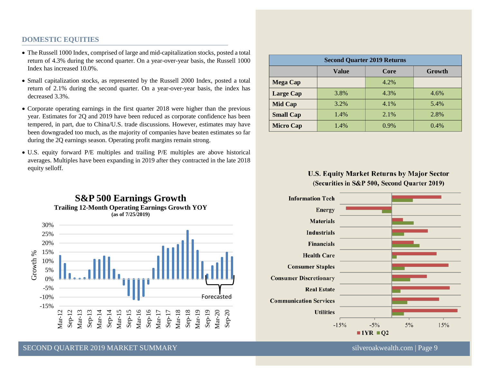#### **DOMESTIC EQUITIES**

- The Russell 1000 Index, comprised of large and mid-capitalization stocks, posted a total return of 4.3% during the second quarter. On a year-over-year basis, the Russell 1000 Index has increased 10.0%.
- Small capitalization stocks, as represented by the Russell 2000 Index, posted a total return of 2.1% during the second quarter. On a year-over-year basis, the index has decreased 3.3%.
- Corporate operating earnings in the first quarter 2018 were higher than the previous year. Estimates for 2Q and 2019 have been reduced as corporate confidence has been tempered, in part, due to China/U.S. trade discussions. However, estimates may have been downgraded too much, as the majority of companies have beaten estimates so far during the 2Q earnings season. Operating profit margins remain strong.
- U.S. equity forward P/E multiples and trailing P/E multiples are above historical averages. Multiples have been expanding in 2019 after they contracted in the late 2018 equity selloff.



| <b>Second Quarter 2019 Returns</b> |       |         |        |
|------------------------------------|-------|---------|--------|
|                                    | Value | Core    | Growth |
| <b>Mega Cap</b>                    |       | 4.2%    |        |
| <b>Large Cap</b>                   | 3.8%  | 4.3%    | 4.6%   |
| <b>Mid Cap</b>                     | 3.2%  | 4.1%    | 5.4%   |
| <b>Small Cap</b>                   | 1.4%  | 2.1%    | 2.8%   |
| <b>Micro Cap</b>                   | 1.4%  | $0.9\%$ | 0.4%   |

#### **U.S. Equity Market Returns by Major Sector** (Securities in S&P 500, Second Quarter 2019)



SECOND QUARTER 2019 MARKET SUMMARY SILVER AND SILVER SILVER SILVER SILVER SILVER SILVER SILVER SILVER SILVER SILVER SILVER SILVER SILVER SILVER SILVER SILVER SILVER SILVER SILVER SILVER SILVER SILVER SILVER SILVER SILVER S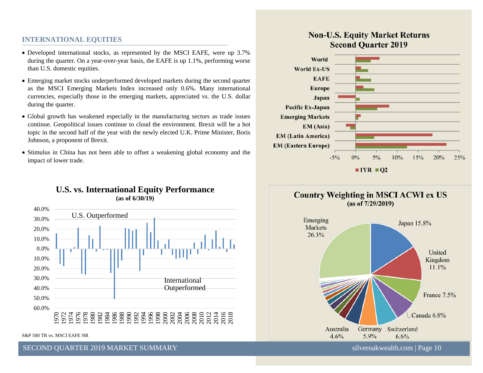#### **INTERNATIONAL EQUITIES**

- Developed international stocks, as represented by the MSCI EAFE, were up 3.7% during the quarter. On a year-over-year basis, the EAFE is up 1.1%, performing worse than U.S. domestic equities.
- Emerging market stocks underperformed developed markets during the second quarter as the MSCI Emerging Markets Index increased only 0.6%. Many international currencies, especially those in the emerging markets, appreciated vs. the U.S. dollar during the quarter.
- Global growth has weakened especially in the manufacturing sectors as trade issues continue. Geopolitical issues continue to cloud the environment. Brexit will be a hot topic in the second half of the year with the newly elected U.K. Prime Minister, Boris Johnson, a proponent of Brexit.
- Stimulus in China has not been able to offset a weakening global economy and the impact of lower trade.

#### **U.S. vs. International Equity Performance (as of 6/30/19)**



S&P 500 TR vs. MSCI EAFE NR

SECOND QUARTER 2019 MARKET SUMMARY SILVER AND SILVER SILVER SILVER SILVER SILVER SILVER SILVER SILVER SILVER SILVER SILVER SILVER SILVER SILVER SILVER SILVER SILVER SILVER SILVER SILVER SILVER SILVER SILVER SILVER SILVER S

# **Non-U.S. Equity Market Returns Second Quarter 2019**